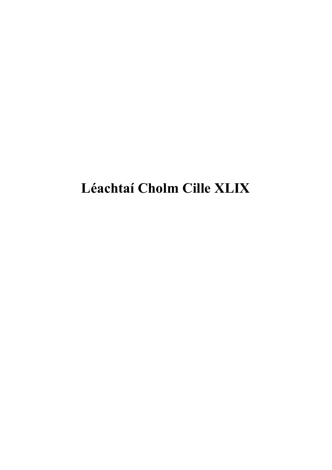# **Léachtaí Cholm Cille XLIX**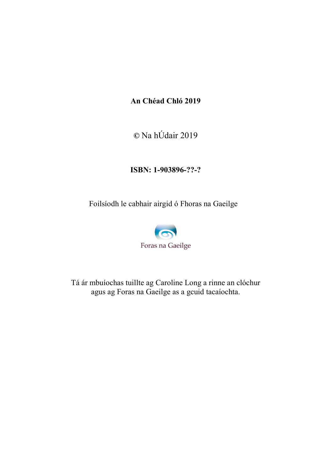#### **An Chéad Chló 2019**

**©** Na hÚdair 2019

#### **ISBN: 1-903896-??-?**

Foilsíodh le cabhair airgid ó Fhoras na Gaeilge



Tá ár mbuíochas tuillte ag Caroline Long a rinne an clóchur agus ag Foras na Gaeilge as a gcuid tacaíochta.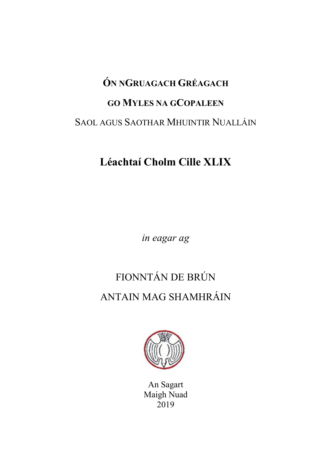# **ÓN NGRUAGACH GRÉAGACH GO MYLES NA GCOPALEEN** SAOL AGUS SAOTHAR MHUINTIR NUALLÁIN

### **Léachtaí Cholm Cille XLIX**

*in eagar ag* 

## FIONNTÁN DE BRÚN ANTAIN MAG SHAMHRÁIN



An Sagart Maigh Nuad 2019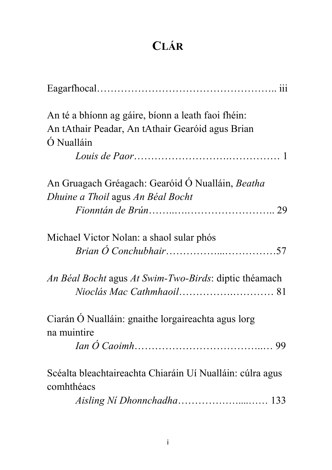## **CLÁR**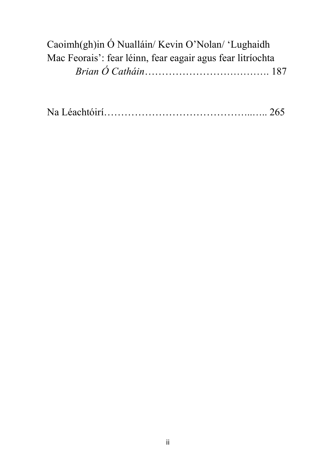| Caoimh(gh)in Ó Nualláin/ Kevin O'Nolan/ 'Lughaidh          |
|------------------------------------------------------------|
| Mac Feorais': fear léinn, fear eagair agus fear litríochta |
|                                                            |

|--|--|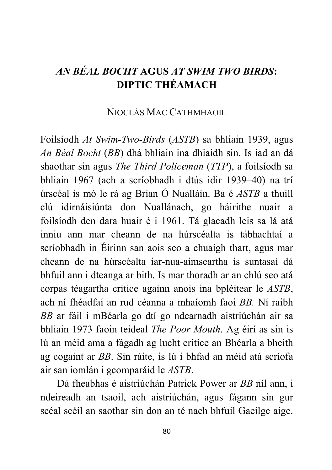### *AN BÉAL BOCHT* **AGUS** *AT SWIM TWO BIRDS***: DIPTIC THÉAMACH**

#### NIOCLÁS MAC CATHMHAOIL

Foilsíodh *At Swim-Two-Birds* (*ASTB*) sa bhliain 1939, agus *An Béal Bocht* (*BB*) dhá bhliain ina dhiaidh sin. Is iad an dá shaothar sin agus *The Third Policeman* (*TTP*), a foilsíodh sa bhliain 1967 (ach a scríobhadh i dtús idir 1939–40) na trí úrscéal is mó le rá ag Brian Ó Nualláin. Ba é *ASTB* a thuill clú idirnáisiúnta don Nuallánach, go háirithe nuair a foilsíodh den dara huair é i 1961. Tá glacadh leis sa lá atá inniu ann mar cheann de na húrscéalta is tábhachtaí a scríobhadh in Éirinn san aois seo a chuaigh thart, agus mar cheann de na húrscéalta iar-nua-aimseartha is suntasaí dá bhfuil ann i dteanga ar bith. Is mar thoradh ar an chlú seo atá corpas téagartha critice againn anois ina bpléitear le *ASTB*, ach ní fhéadfaí an rud céanna a mhaíomh faoi *BB.* Ní raibh *BB* ar fáil i mBéarla go dtí go ndearnadh aistriúchán air sa bhliain 1973 faoin teideal *The Poor Mouth*. Ag éirí as sin is lú an méid ama a fágadh ag lucht critice an Bhéarla a bheith ag cogaint ar *BB*. Sin ráite, is lú i bhfad an méid atá scríofa air san iomlán i gcomparáid le *ASTB*.

 Dá fheabhas é aistriúchán Patrick Power ar *BB* níl ann, i ndeireadh an tsaoil, ach aistriúchán, agus fágann sin gur scéal scéil an saothar sin don an té nach bhfuil Gaeilge aige.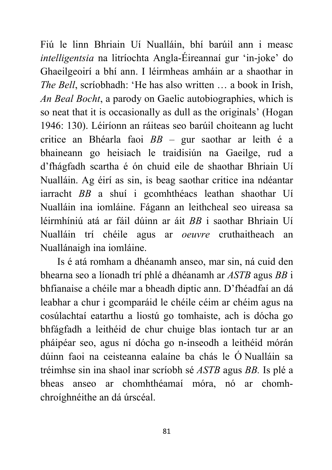Fiú le linn Bhriain Uí Nualláin, bhí barúil ann i measc *intelligentsia* na litríochta Angla-Éireannaí gur 'in-joke' do Ghaeilgeoirí a bhí ann. I léirmheas amháin ar a shaothar in *The Bell*, scríobhadh: 'He has also written … a book in Irish, *An Beal Bocht*, a parody on Gaelic autobiographies, which is so neat that it is occasionally as dull as the originals' (Hogan 1946: 130). Léiríonn an ráiteas seo barúil choiteann ag lucht critice an Bhéarla faoi *BB –* gur saothar ar leith é a bhaineann go heisiach le traidisiún na Gaeilge, rud a d'fhágfadh scartha é ón chuid eile de shaothar Bhriain Uí Nualláin. Ag éirí as sin, is beag saothar critice ina ndéantar iarracht *BB* a shuí i gcomhthéacs leathan shaothar Uí Nualláin ina iomláine. Fágann an leithcheal seo uireasa sa léirmhíniú atá ar fáil dúinn ar áit *BB* i saothar Bhriain Uí Nualláin trí chéile agus ar *oeuvre* cruthaitheach an Nuallánaigh ina iomláine.

 Is é atá romham a dhéanamh anseo, mar sin, ná cuid den bhearna seo a líonadh trí phlé a dhéanamh ar *ASTB* agus *BB* i bhfianaise a chéile mar a bheadh diptic ann. D'fhéadfaí an dá leabhar a chur i gcomparáid le chéile céim ar chéim agus na cosúlachtaí eatarthu a liostú go tomhaiste, ach is dócha go bhfágfadh a leithéid de chur chuige blas iontach tur ar an pháipéar seo, agus ní dócha go n-inseodh a leithéid mórán dúinn faoi na ceisteanna ealaíne ba chás le Ó Nualláin sa tréimhse sin ina shaol inar scríobh sé *ASTB* agus *BB.* Is plé a bheas anseo ar chomhthéamaí móra, nó ar chomhchroíghnéithe an dá úrscéal.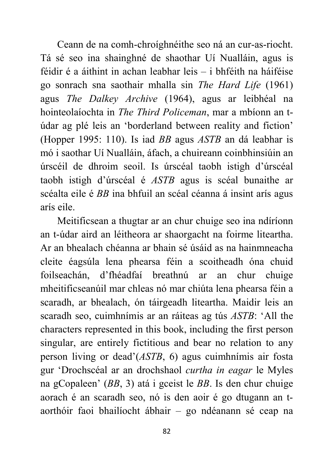Ceann de na comh-chroíghnéithe seo ná an cur-as-riocht. Tá sé seo ina shainghné de shaothar Uí Nualláin, agus is féidir é a áithint in achan leabhar leis – i bhféith na háiféise go sonrach sna saothair mhalla sin *The Hard Life* (1961) agus *The Dalkey Archive* (1964), agus ar leibhéal na hointeolaíochta in *The Third Policeman*, mar a mbíonn an túdar ag plé leis an 'borderland between reality and fiction' (Hopper 1995: 110). Is iad *BB* agus *ASTB* an dá leabhar is mó i saothar Uí Nualláin, áfach, a chuireann coinbhinsiúin an úrscéil de dhroim seoil. Is úrscéal taobh istigh d'úrscéal taobh istigh d'úrscéal é *ASTB* agus is scéal bunaithe ar scéalta eile é *BB* ina bhfuil an scéal céanna á insint arís agus arís eile.

 Meitificsean a thugtar ar an chur chuige seo ina ndíríonn an t-údar aird an léitheora ar shaorgacht na foirme liteartha. Ar an bhealach chéanna ar bhain sé úsáid as na hainmneacha cleite éagsúla lena phearsa féin a scoitheadh óna chuid foilseachán, d'fhéadfaí breathnú ar an chur chuige mheitificseanúil mar chleas nó mar chiúta lena phearsa féin a scaradh, ar bhealach, ón táirgeadh liteartha. Maidir leis an scaradh seo, cuimhnímis ar an ráiteas ag tús *ASTB*: 'All the characters represented in this book, including the first person singular, are entirely fictitious and bear no relation to any person living or dead'(*ASTB*, 6) agus cuimhnímis air fosta gur 'Drochscéal ar an drochshaol *curtha in eagar* le Myles na gCopaleen' (*BB*, 3) atá i gceist le *BB*. Is den chur chuige aorach é an scaradh seo, nó is den aoir é go dtugann an taorthóir faoi bhailíocht ábhair – go ndéanann sé ceap na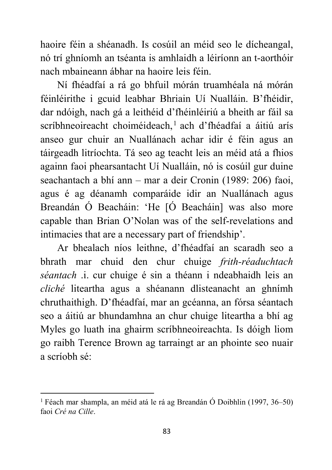haoire féin a shéanadh. Is cosúil an méid seo le dícheangal, nó trí ghníomh an tséanta is amhlaidh a léiríonn an t-aorthóir nach mbaineann ábhar na haoire leis féin.

 Ní fhéadfaí a rá go bhfuil mórán truamhéala ná mórán féinléirithe i gcuid leabhar Bhriain Uí Nualláin. B'fhéidir, dar ndóigh, nach gá a leithéid d'fhéinléiriú a bheith ar fáil sa scríbhneoireacht choiméideach,<sup>1</sup> ach d'fhéadfaí a áitiú arís anseo gur chuir an Nuallánach achar idir é féin agus an táirgeadh litríochta. Tá seo ag teacht leis an méid atá a fhios againn faoi phearsantacht Uí Nualláin, nó is cosúil gur duine seachantach a bhí ann – mar a deir Cronin (1989: 206) faoi, agus é ag déanamh comparáide idir an Nuallánach agus Breandán Ó Beacháin: 'He [Ó Beacháin] was also more capable than Brian O'Nolan was of the self-revelations and intimacies that are a necessary part of friendship'.

 Ar bhealach níos leithne, d'fhéadfaí an scaradh seo a bhrath mar chuid den chur chuige *frith-réaduchtach séantach* .i. cur chuige é sin a théann i ndeabhaidh leis an *cliché* liteartha agus a shéanann dlisteanacht an ghnímh chruthaithigh. D'fhéadfaí, mar an gcéanna, an fórsa séantach seo a áitiú ar bhundamhna an chur chuige liteartha a bhí ag Myles go luath ina ghairm scríbhneoireachta. Is dóigh liom go raibh Terence Brown ag tarraingt ar an phointe seo nuair a scríobh sé:

-

<sup>&</sup>lt;sup>1</sup> Féach mar shampla, an méid atá le rá ag Breandán Ó Doibhlin (1997, 36–50) faoi *Cré na Cille*.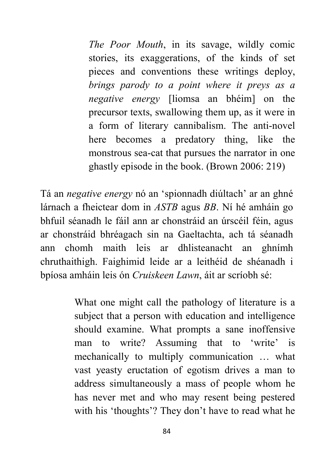*The Poor Mouth*, in its savage, wildly comic stories, its exaggerations, of the kinds of set pieces and conventions these writings deploy, *brings parody to a point where it preys as a negative energy* [liomsa an bhéim] on the precursor texts, swallowing them up, as it were in a form of literary cannibalism. The anti-novel here becomes a predatory thing, like the monstrous sea-cat that pursues the narrator in one ghastly episode in the book. (Brown 2006: 219)

Tá an *negative energy* nó an 'spionnadh diúltach' ar an ghné lárnach a fheictear dom in *ASTB* agus *BB*. Ní hé amháin go bhfuil séanadh le fáil ann ar chonstráid an úrscéil féin, agus ar chonstráid bhréagach sin na Gaeltachta, ach tá séanadh ann chomh maith leis ar dhlisteanacht an ghnímh chruthaithigh. Faighimid leide ar a leithéid de shéanadh i bpíosa amháin leis ón *Cruiskeen Lawn*, áit ar scríobh sé:

> What one might call the pathology of literature is a subject that a person with education and intelligence should examine. What prompts a sane inoffensive man to write? Assuming that to 'write' is mechanically to multiply communication … what vast yeasty eructation of egotism drives a man to address simultaneously a mass of people whom he has never met and who may resent being pestered with his 'thoughts'? They don't have to read what he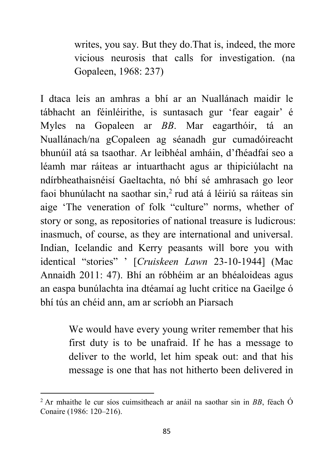writes, you say. But they do.That is, indeed, the more vicious neurosis that calls for investigation. (na Gopaleen, 1968: 237)

I dtaca leis an amhras a bhí ar an Nuallánach maidir le tábhacht an féinléirithe, is suntasach gur 'fear eagair' é Myles na Gopaleen ar *BB*. Mar eagarthóir, tá an Nuallánach/na gCopaleen ag séanadh gur cumadóireacht bhunúil atá sa tsaothar. Ar leibhéal amháin, d'fhéadfaí seo a léamh mar ráiteas ar intuarthacht agus ar thipiciúlacht na ndírbheathaisnéisí Gaeltachta, nó bhí sé amhrasach go leor faoi bhunúlacht na saothar sin,<sup>2</sup> rud atá á léiriú sa ráiteas sin aige 'The veneration of folk "culture" norms, whether of story or song, as repositories of national treasure is ludicrous: inasmuch, of course, as they are international and universal. Indian, Icelandic and Kerry peasants will bore you with identical "stories" ' [*Cruiskeen Lawn* 23-10-1944] (Mac Annaidh 2011: 47). Bhí an róbhéim ar an bhéaloideas agus an easpa bunúlachta ina dtéamaí ag lucht critice na Gaeilge ó bhí tús an chéid ann, am ar scríobh an Piarsach

> We would have every young writer remember that his first duty is to be unafraid. If he has a message to deliver to the world, let him speak out: and that his message is one that has not hitherto been delivered in

-

<sup>2</sup> Ar mhaithe le cur síos cuimsitheach ar anáil na saothar sin in *BB*, féach Ó Conaire (1986: 120–216).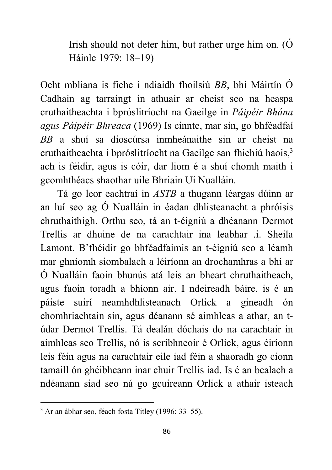Irish should not deter him, but rather urge him on. (Ó Háinle 1979: 18–19)

Ocht mbliana is fiche i ndiaidh fhoilsiú *BB*, bhí Máirtín Ó Cadhain ag tarraingt in athuair ar cheist seo na heaspa cruthaitheachta i bpróslitríocht na Gaeilge in *Páipéir Bhána agus Páipéir Bhreaca* (1969) Is cinnte, mar sin, go bhféadfaí *BB* a shuí sa dioscúrsa inmheánaithe sin ar cheist na cruthaitheachta i bpróslitríocht na Gaeilge san fhichiú haois,<sup>3</sup> ach is féidir, agus is cóir, dar liom é a shuí chomh maith i gcomhthéacs shaothar uile Bhriain Uí Nualláin.

 Tá go leor eachtraí in *ASTB* a thugann léargas dúinn ar an luí seo ag Ó Nualláin in éadan dhlisteanacht a phróisis chruthaithigh. Orthu seo, tá an t-éigniú a dhéanann Dermot Trellis ar dhuine de na carachtair ina leabhar .i. Sheila Lamont. B'fhéidir go bhféadfaimis an t-éigniú seo a léamh mar ghníomh siombalach a léiríonn an drochamhras a bhí ar Ó Nualláin faoin bhunús atá leis an bheart chruthaitheach, agus faoin toradh a bhíonn air. I ndeireadh báire, is é an páiste suirí neamhdhlisteanach Orlick a gineadh ón chomhriachtain sin, agus déanann sé aimhleas a athar, an túdar Dermot Trellis. Tá dealán dóchais do na carachtair in aimhleas seo Trellis, nó is scríbhneoir é Orlick, agus éiríonn leis féin agus na carachtair eile iad féin a shaoradh go cionn tamaill ón ghéibheann inar chuir Trellis iad. Is é an bealach a ndéanann siad seo ná go gcuireann Orlick a athair isteach

1

<sup>&</sup>lt;sup>3</sup> Ar an ábhar seo, féach fosta Titley (1996: 33–55).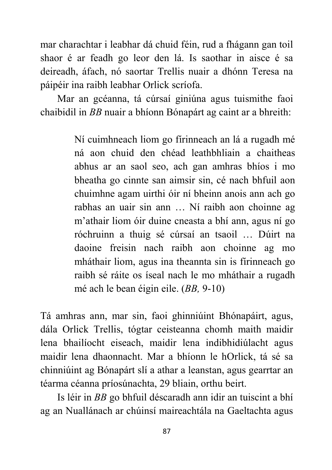mar charachtar i leabhar dá chuid féin, rud a fhágann gan toil shaor é ar feadh go leor den lá. Is saothar in aisce é sa deireadh, áfach, nó saortar Trellis nuair a dhónn Teresa na páipéir ina raibh leabhar Orlick scríofa.

 Mar an gcéanna, tá cúrsaí giniúna agus tuismithe faoi chaibidil in *BB* nuair a bhíonn Bónapárt ag caint ar a bhreith:

> Ní cuimhneach liom go fírinneach an lá a rugadh mé ná aon chuid den chéad leathbhliain a chaitheas abhus ar an saol seo, ach gan amhras bhíos i mo bheatha go cinnte san aimsir sin, cé nach bhfuil aon chuimhne agam uirthi óir ní bheinn anois ann ach go rabhas an uair sin ann … Ní raibh aon choinne ag m'athair liom óir duine cneasta a bhí ann, agus ní go róchruinn a thuig sé cúrsaí an tsaoil … Dúirt na daoine freisin nach raibh aon choinne ag mo mháthair liom, agus ina theannta sin is fírinneach go raibh sé ráite os íseal nach le mo mháthair a rugadh mé ach le bean éigin eile. (*BB,* 9-10)

Tá amhras ann, mar sin, faoi ghinniúint Bhónapáirt, agus, dála Orlick Trellis, tógtar ceisteanna chomh maith maidir lena bhailíocht eiseach, maidir lena indibhidiúlacht agus maidir lena dhaonnacht. Mar a bhíonn le hOrlick, tá sé sa chinniúint ag Bónapárt slí a athar a leanstan, agus gearrtar an téarma céanna príosúnachta, 29 bliain, orthu beirt.

 Is léir in *BB* go bhfuil déscaradh ann idir an tuiscint a bhí ag an Nuallánach ar chúinsí maireachtála na Gaeltachta agus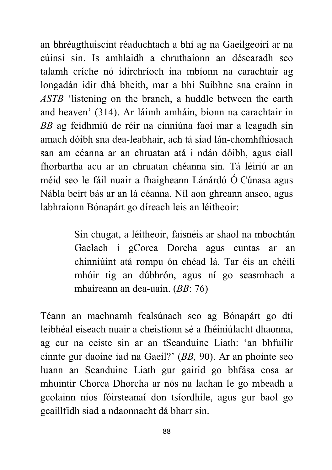an bhréagthuiscint réaduchtach a bhí ag na Gaeilgeoirí ar na cúinsí sin. Is amhlaidh a chruthaíonn an déscaradh seo talamh críche nó idirchríoch ina mbíonn na carachtair ag longadán idir dhá bheith, mar a bhí Suibhne sna crainn in *ASTB* 'listening on the branch, a huddle between the earth and heaven' (314). Ar láimh amháin, bíonn na carachtair in *BB* ag feidhmiú de réir na cinniúna faoi mar a leagadh sin amach dóibh sna dea-leabhair, ach tá siad lán-chomhfhiosach san am céanna ar an chruatan atá i ndán dóibh, agus ciall fhorbartha acu ar an chruatan chéanna sin. Tá léiriú ar an méid seo le fáil nuair a fhaigheann Lánárdó Ó Cúnasa agus Nábla beirt bás ar an lá céanna. Níl aon ghreann anseo, agus labhraíonn Bónapárt go díreach leis an léitheoir:

> Sin chugat, a léitheoir, faisnéis ar shaol na mbochtán Gaelach i gCorca Dorcha agus cuntas ar an chinniúint atá rompu ón chéad lá. Tar éis an chéilí mhóir tig an dúbhrón, agus ní go seasmhach a mhaireann an dea-uain. (*BB*: 76)

Téann an machnamh fealsúnach seo ag Bónapárt go dtí leibhéal eiseach nuair a cheistíonn sé a fhéiniúlacht dhaonna, ag cur na ceiste sin ar an tSeanduine Liath: 'an bhfuilir cinnte gur daoine iad na Gaeil?' (*BB,* 90). Ar an phointe seo luann an Seanduine Liath gur gairid go bhfása cosa ar mhuintir Chorca Dhorcha ar nós na lachan le go mbeadh a gcolainn níos fóirsteanaí don tsíordhíle, agus gur baol go gcaillfidh siad a ndaonnacht dá bharr sin.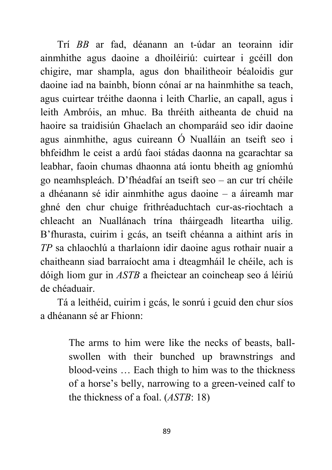Trí *BB* ar fad, déanann an t-údar an teorainn idir ainmhithe agus daoine a dhoiléiriú: cuirtear i gcéill don chigire, mar shampla, agus don bhailitheoir béaloidis gur daoine iad na bainbh, bíonn cónaí ar na hainmhithe sa teach, agus cuirtear tréithe daonna i leith Charlie, an capall, agus i leith Ambróis, an mhuc. Ba thréith aitheanta de chuid na haoire sa traidisiún Ghaelach an chomparáid seo idir daoine agus ainmhithe, agus cuireann Ó Nualláin an tseift seo i bhfeidhm le ceist a ardú faoi stádas daonna na gcarachtar sa leabhar, faoin chumas dhaonna atá iontu bheith ag gníomhú go neamhspleách. D'fhéadfaí an tseift seo – an cur trí chéile a dhéanann sé idir ainmhithe agus daoine – a áireamh mar ghné den chur chuige frithréaduchtach cur-as-riochtach a chleacht an Nuallánach trína tháirgeadh liteartha uilig. B'fhurasta, cuirim i gcás, an tseift chéanna a aithint arís in *TP* sa chlaochlú a tharlaíonn idir daoine agus rothair nuair a chaitheann siad barraíocht ama i dteagmháil le chéile, ach is dóigh liom gur in *ASTB* a fheictear an coincheap seo á léiriú de chéaduair.

 Tá a leithéid, cuirim i gcás, le sonrú i gcuid den chur síos a dhéanann sé ar Fhionn:

> The arms to him were like the necks of beasts, ballswollen with their bunched up brawnstrings and blood-veins … Each thigh to him was to the thickness of a horse's belly, narrowing to a green-veined calf to the thickness of a foal. (*ASTB*: 18)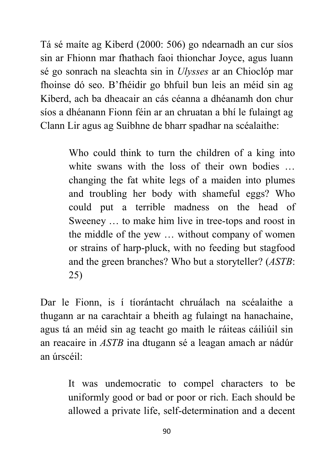Tá sé maíte ag Kiberd (2000: 506) go ndearnadh an cur síos sin ar Fhionn mar fhathach faoi thionchar Joyce, agus luann sé go sonrach na sleachta sin in *Ulysses* ar an Chioclóp mar fhoinse dó seo. B'fhéidir go bhfuil bun leis an méid sin ag Kiberd, ach ba dheacair an cás céanna a dhéanamh don chur síos a dhéanann Fionn féin ar an chruatan a bhí le fulaingt ag Clann Lir agus ag Suibhne de bharr spadhar na scéalaithe:

> Who could think to turn the children of a king into white swans with the loss of their own bodies ... changing the fat white legs of a maiden into plumes and troubling her body with shameful eggs? Who could put a terrible madness on the head of Sweeney … to make him live in tree-tops and roost in the middle of the yew … without company of women or strains of harp-pluck, with no feeding but stagfood and the green branches? Who but a storyteller? (*ASTB*: 25)

Dar le Fionn, is í tíorántacht chruálach na scéalaithe a thugann ar na carachtair a bheith ag fulaingt na hanachaine, agus tá an méid sin ag teacht go maith le ráiteas cáiliúil sin an reacaire in *ASTB* ina dtugann sé a leagan amach ar nádúr an úrscéil:

> It was undemocratic to compel characters to be uniformly good or bad or poor or rich. Each should be allowed a private life, self-determination and a decent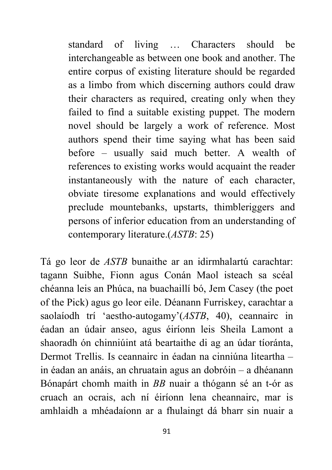standard of living … Characters should be interchangeable as between one book and another. The entire corpus of existing literature should be regarded as a limbo from which discerning authors could draw their characters as required, creating only when they failed to find a suitable existing puppet. The modern novel should be largely a work of reference. Most authors spend their time saying what has been said before – usually said much better. A wealth of references to existing works would acquaint the reader instantaneously with the nature of each character, obviate tiresome explanations and would effectively preclude mountebanks, upstarts, thimbleriggers and persons of inferior education from an understanding of contemporary literature.(*ASTB*: 25)

Tá go leor de *ASTB* bunaithe ar an idirmhalartú carachtar: tagann Suibhe, Fionn agus Conán Maol isteach sa scéal chéanna leis an Phúca, na buachaillí bó, Jem Casey (the poet of the Pick) agus go leor eile. Déanann Furriskey, carachtar a saolaíodh trí 'aestho-autogamy'(*ASTB*, 40), ceannairc in éadan an údair anseo, agus éiríonn leis Sheila Lamont a shaoradh ón chinniúint atá beartaithe di ag an údar tíoránta, Dermot Trellis. Is ceannairc in éadan na cinniúna liteartha – in éadan an anáis, an chruatain agus an dobróin – a dhéanann Bónapárt chomh maith in *BB* nuair a thógann sé an t-ór as cruach an ocrais, ach ní éiríonn lena cheannairc, mar is amhlaidh a mhéadaíonn ar a fhulaingt dá bharr sin nuair a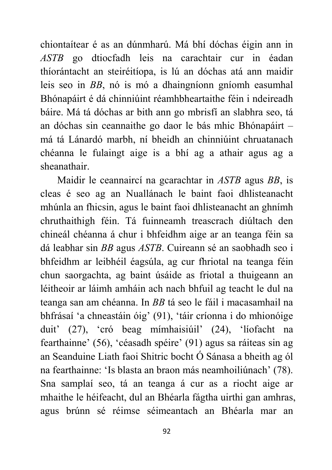chiontaítear é as an dúnmharú. Má bhí dóchas éigin ann in *ASTB* go dtiocfadh leis na carachtair cur in éadan thíorántacht an steiréitíopa, is lú an dóchas atá ann maidir leis seo in *BB*, nó is mó a dhaingníonn gníomh easumhal Bhónapáirt é dá chinniúint réamhbheartaithe féin i ndeireadh báire. Má tá dóchas ar bith ann go mbrisfí an slabhra seo, tá an dóchas sin ceannaithe go daor le bás mhic Bhónapáirt – má tá Lánardó marbh, ní bheidh an chinniúint chruatanach chéanna le fulaingt aige is a bhí ag a athair agus ag a sheanathair.

 Maidir le ceannaircí na gcarachtar in *ASTB* agus *BB*, is cleas é seo ag an Nuallánach le baint faoi dhlisteanacht mhúnla an fhicsin, agus le baint faoi dhlisteanacht an ghnímh chruthaithigh féin. Tá fuinneamh treascrach diúltach den chineál chéanna á chur i bhfeidhm aige ar an teanga féin sa dá leabhar sin *BB* agus *ASTB*. Cuireann sé an saobhadh seo i bhfeidhm ar leibhéil éagsúla, ag cur fhriotal na teanga féin chun saorgachta, ag baint úsáide as friotal a thuigeann an léitheoir ar láimh amháin ach nach bhfuil ag teacht le dul na teanga san am chéanna. In *BB* tá seo le fáil i macasamhail na bhfrásaí 'a chneastáin óig' (91), 'táir críonna i do mhionóige duit' (27), 'cró beag mímhaisiúil' (24), 'líofacht na fearthainne' (56), 'céasadh spéire' (91) agus sa ráiteas sin ag an Seanduine Liath faoi Shitric bocht Ó Sánasa a bheith ag ól na fearthainne: 'Is blasta an braon más neamhoiliúnach' (78). Sna samplaí seo, tá an teanga á cur as a riocht aige ar mhaithe le héifeacht, dul an Bhéarla fágtha uirthi gan amhras, agus brúnn sé réimse séimeantach an Bhéarla mar an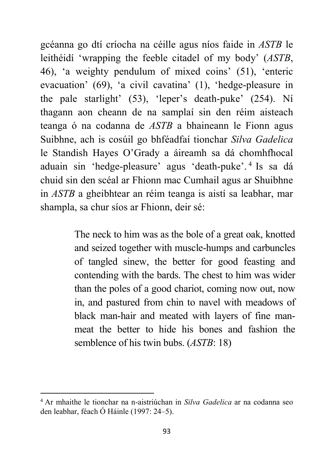gcéanna go dtí críocha na céille agus níos faide in *ASTB* le leithéidí 'wrapping the feeble citadel of my body' (*ASTB*, 46), 'a weighty pendulum of mixed coins' (51), 'enteric evacuation' (69), 'a civil cavatina' (1), 'hedge-pleasure in the pale starlight' (53), 'leper's death-puke' (254). Ní thagann aon cheann de na samplaí sin den réim aisteach teanga ó na codanna de *ASTB* a bhaineann le Fionn agus Suibhne, ach is cosúil go bhféadfaí tionchar *Silva Gadelica* le Standish Hayes O'Grady a áireamh sa dá chomhfhocal aduain sin 'hedge-pleasure' agus 'death-puke'. 4 Is sa dá chuid sin den scéal ar Fhionn mac Cumhail agus ar Shuibhne in *ASTB* a gheibhtear an réim teanga is aistí sa leabhar, mar shampla, sa chur síos ar Fhionn, deir sé:

> The neck to him was as the bole of a great oak, knotted and seized together with muscle-humps and carbuncles of tangled sinew, the better for good feasting and contending with the bards. The chest to him was wider than the poles of a good chariot, coming now out, now in, and pastured from chin to navel with meadows of black man-hair and meated with layers of fine manmeat the better to hide his bones and fashion the semblence of his twin bubs. (*ASTB*: 18)

-

<sup>4</sup> Ar mhaithe le tionchar na n-aistriúchan in *Silva Gadelica* ar na codanna seo den leabhar, féach Ó Háinle (1997: 24–5).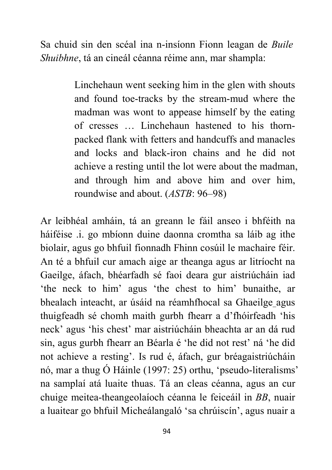Sa chuid sin den scéal ina n-insíonn Fionn leagan de *Buile Shuibhne*, tá an cineál céanna réime ann, mar shampla:

> Linchehaun went seeking him in the glen with shouts and found toe-tracks by the stream-mud where the madman was wont to appease himself by the eating of cresses … Linchehaun hastened to his thornpacked flank with fetters and handcuffs and manacles and locks and black-iron chains and he did not achieve a resting until the lot were about the madman, and through him and above him and over him, roundwise and about. (*ASTB*: 96–98)

Ar leibhéal amháin, tá an greann le fáil anseo i bhféith na háiféise .i. go mbíonn duine daonna cromtha sa láib ag ithe biolair, agus go bhfuil fionnadh Fhinn cosúil le machaire féir. An té a bhfuil cur amach aige ar theanga agus ar litríocht na Gaeilge, áfach, bhéarfadh sé faoi deara gur aistriúcháin iad 'the neck to him' agus 'the chest to him' bunaithe, ar bhealach inteacht, ar úsáid na réamhfhocal sa Ghaeilge agus thuigfeadh sé chomh maith gurbh fhearr a d'fhóirfeadh 'his neck' agus 'his chest' mar aistriúcháin bheachta ar an dá rud sin, agus gurbh fhearr an Béarla é 'he did not rest' ná 'he did not achieve a resting'. Is rud é, áfach, gur bréagaistriúcháin nó, mar a thug Ó Háinle (1997: 25) orthu, 'pseudo-literalisms' na samplaí atá luaite thuas. Tá an cleas céanna, agus an cur chuige meitea-theangeolaíoch céanna le feiceáil in *BB*, nuair a luaitear go bhfuil Micheálangaló 'sa chrúiscín', agus nuair a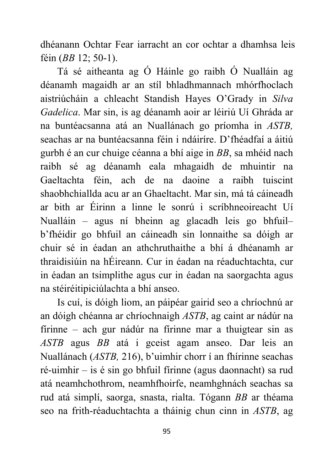dhéanann Ochtar Fear iarracht an cor ochtar a dhamhsa leis féin (*BB* 12; 50-1).

 Tá sé aitheanta ag Ó Háinle go raibh Ó Nualláin ag déanamh magaidh ar an stíl bhladhmannach mhórfhoclach aistriúcháin a chleacht Standish Hayes O'Grady in *Silva Gadelica*. Mar sin, is ag déanamh aoir ar léiriú Uí Ghráda ar na buntéacsanna atá an Nuallánach go príomha in *ASTB,*  seachas ar na buntéacsanna féin i ndáiríre. D'fhéadfaí a áitiú gurbh é an cur chuige céanna a bhí aige in *BB*, sa mhéid nach raibh sé ag déanamh eala mhagaidh de mhuintir na Gaeltachta féin, ach de na daoine a raibh tuiscint shaobhchiallda acu ar an Ghaeltacht. Mar sin, má tá cáineadh ar bith ar Éirinn a linne le sonrú i scríbhneoireacht Uí Nualláin – agus ní bheinn ag glacadh leis go bhfuil– b'fhéidir go bhfuil an cáineadh sin lonnaithe sa dóigh ar chuir sé in éadan an athchruthaithe a bhí á dhéanamh ar thraidisiúin na hÉireann. Cur in éadan na réaduchtachta, cur in éadan an tsimplithe agus cur in éadan na saorgachta agus na stéiréitipiciúlachta a bhí anseo.

 Is cuí, is dóigh liom, an páipéar gairid seo a chríochnú ar an dóigh chéanna ar chríochnaigh *ASTB*, ag caint ar nádúr na fírinne – ach gur nádúr na fírinne mar a thuigtear sin as *ASTB* agus *BB* atá i gceist agam anseo. Dar leis an Nuallánach (*ASTB,* 216), b'uimhir chorr í an fhírinne seachas ré-uimhir – is é sin go bhfuil fírinne (agus daonnacht) sa rud atá neamhchothrom, neamhfhoirfe, neamhghnách seachas sa rud atá simplí, saorga, snasta, rialta. Tógann *BB* ar théama seo na frith-réaduchtachta a tháinig chun cinn in *ASTB*, ag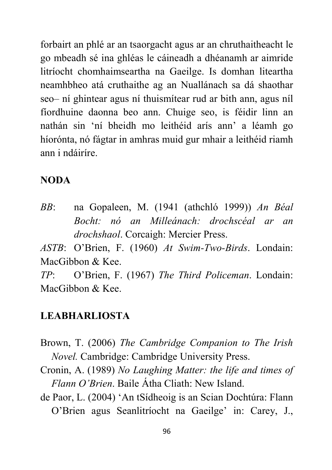forbairt an phlé ar an tsaorgacht agus ar an chruthaitheacht le go mbeadh sé ina ghléas le cáineadh a dhéanamh ar aimride litríocht chomhaimseartha na Gaeilge. Is domhan liteartha neamhbheo atá cruthaithe ag an Nuallánach sa dá shaothar seo– ní ghintear agus ní thuismítear rud ar bith ann, agus níl fíordhuine daonna beo ann. Chuige seo, is féidir linn an nathán sin 'ní bheidh mo leithéid arís ann' a léamh go híorónta, nó fágtar in amhras muid gur mhair a leithéid riamh ann i ndáiríre.

#### **NODA**

*BB*: na Gopaleen, M. (1941 (athchló 1999)) *An Béal Bocht: nó an Milleánach: drochscéal ar an drochshaol*. Corcaigh: Mercier Press.

*ASTB*: O'Brien, F. (1960) *At Swim-Two-Birds*. Londain: MacGibbon & Kee.

*TP*: O'Brien, F. (1967) *The Third Policeman*. Londain: MacGibbon & Kee.

### **LEABHARLIOSTA**

- Brown, T. (2006) *The Cambridge Companion to The Irish Novel.* Cambridge: Cambridge University Press.
- Cronin, A. (1989) *No Laughing Matter: the life and times of Flann O'Brien*. Baile Átha Cliath: New Island.
- de Paor, L. (2004) 'An tSídheoig is an Scian Dochtúra: Flann O'Brien agus Seanlitríocht na Gaeilge' in: Carey, J.,